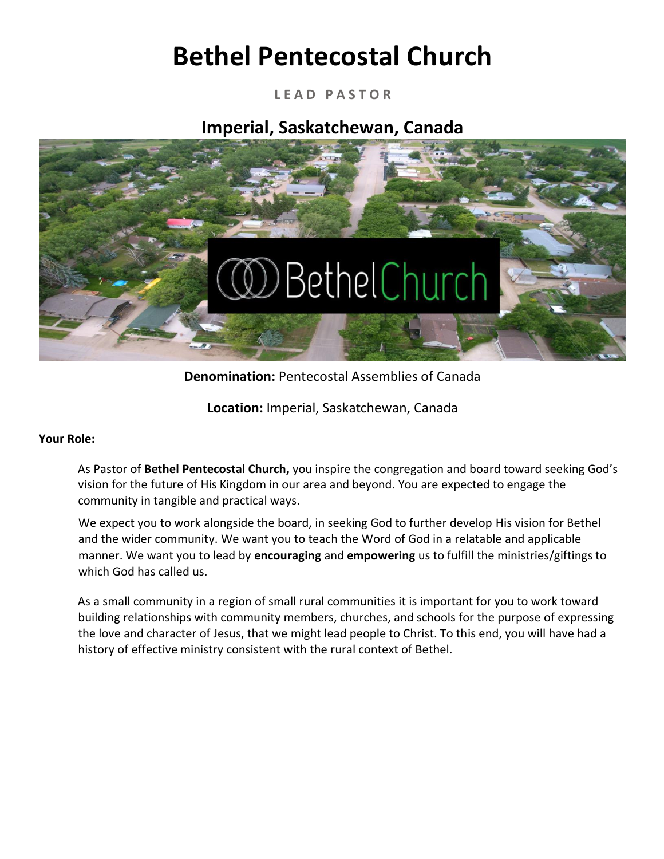# **Bethel Pentecostal Church**

**L E A D P A S T O R** 

**Imperial, Saskatchewan, Canada** 



**Denomination:** Pentecostal Assemblies of Canada

**Location:** Imperial, Saskatchewan, Canada

#### **Your Role:**

As Pastor of **Bethel Pentecostal Church,** you inspire the congregation and board toward seeking God's vision for the future of His Kingdom in our area and beyond. You are expected to engage the community in tangible and practical ways.

We expect you to work alongside the board, in seeking God to further develop His vision for Bethel and the wider community. We want you to teach the Word of God in a relatable and applicable manner. We want you to lead by **encouraging** and **empowering** us to fulfill the ministries/giftings to which God has called us.

As a small community in a region of small rural communities it is important for you to work toward building relationships with community members, churches, and schools for the purpose of expressing the love and character of Jesus, that we might lead people to Christ. To this end, you will have had a history of effective ministry consistent with the rural context of Bethel.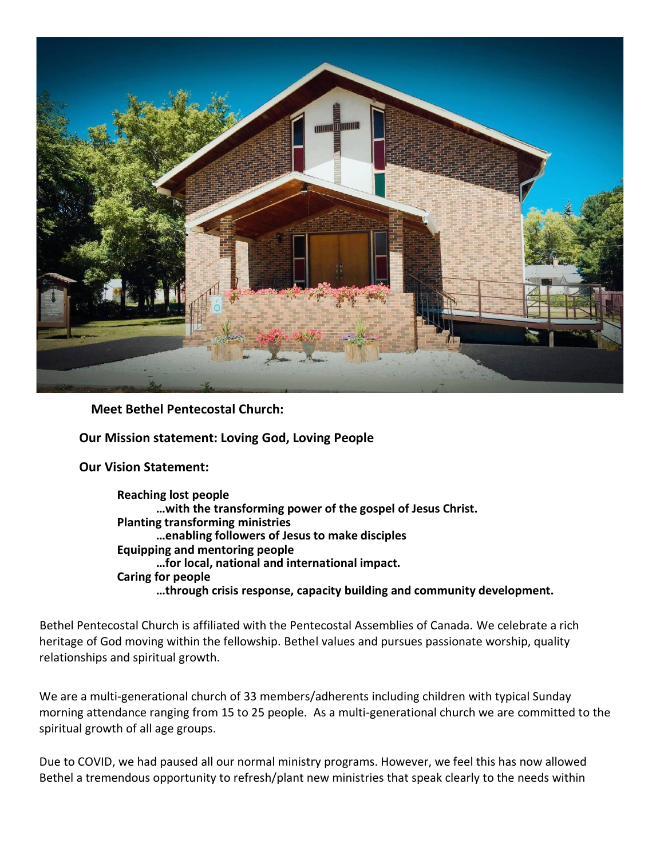

**Meet Bethel Pentecostal Church:**

**Our Mission statement: Loving God, Loving People**

**Our Vision Statement:**

**Reaching lost people …with the transforming power of the gospel of Jesus Christ. Planting transforming ministries …enabling followers of Jesus to make disciples Equipping and mentoring people …for local, national and international impact. Caring for people …through crisis response, capacity building and community development.**

Bethel Pentecostal Church is affiliated with the Pentecostal Assemblies of Canada. We celebrate a rich heritage of God moving within the fellowship. Bethel values and pursues passionate worship, quality relationships and spiritual growth.

We are a multi-generational church of 33 members/adherents including children with typical Sunday morning attendance ranging from 15 to 25 people. As a multi-generational church we are committed to the spiritual growth of all age groups.

Due to COVID, we had paused all our normal ministry programs. However, we feel this has now allowed Bethel a tremendous opportunity to refresh/plant new ministries that speak clearly to the needs within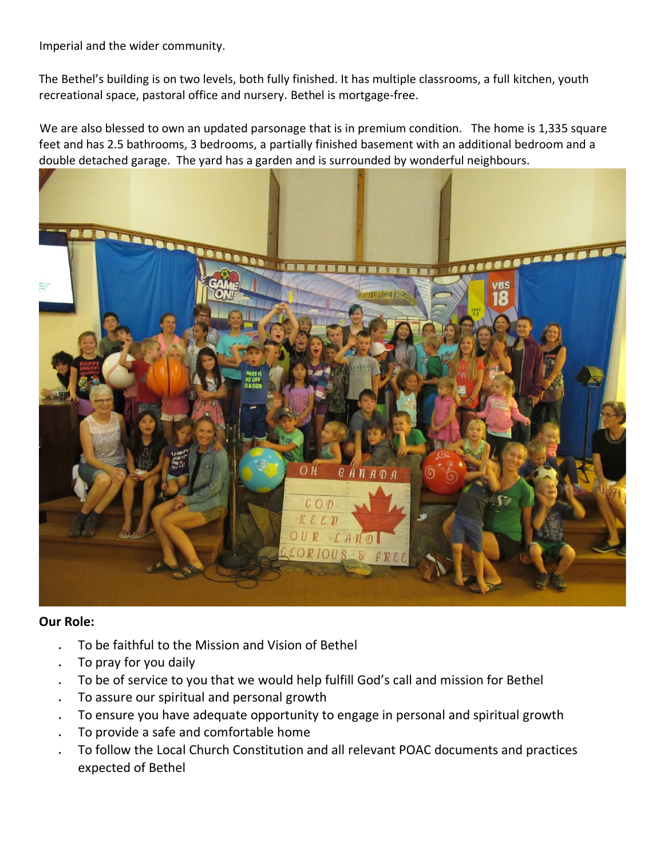Imperial and the wider community.

The Bethel's building is on two levels, both fully finished. It has multiple classrooms, a full kitchen, youth recreational space, pastoral office and nursery. Bethel is mortgage-free.

We are also blessed to own an updated parsonage that is in premium condition. The home is 1,335 square feet and has 2.5 bathrooms, 3 bedrooms, a partially finished basement with an additional bedroom and a double detached garage. The yard has a garden and is surrounded by wonderful neighbours.



#### **Our Role:**

- To be faithful to the Mission and Vision of Bethel
- To pray for you daily
- . To be of service to you that we would help fulfill God's call and mission for Bethel
- To assure our spiritual and personal growth
- . To ensure you have adequate opportunity to engage in personal and spiritual growth
- To provide a safe and comfortable home
- To follow the Local Church Constitution and all relevant POAC documents and practices expected of Bethel